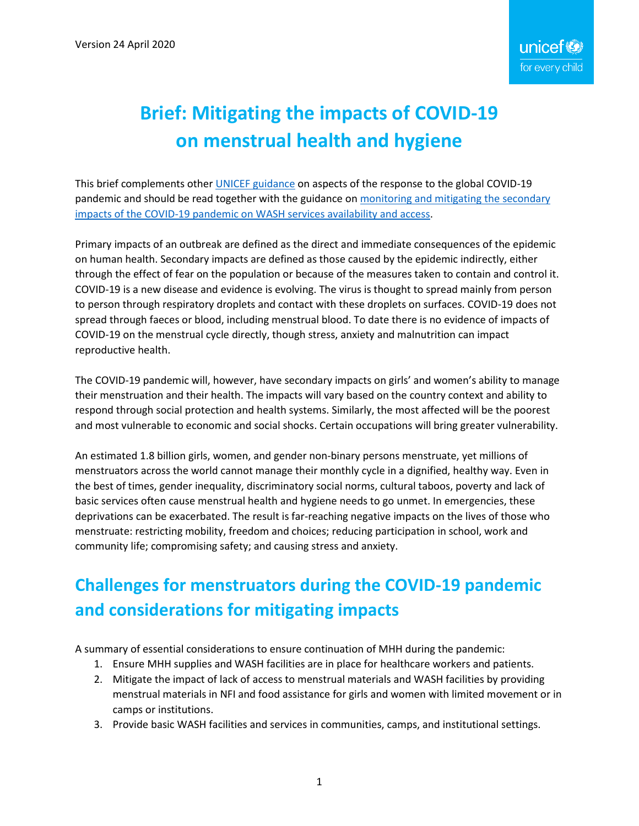# **Brief: Mitigating the impacts of COVID-19 on menstrual health and hygiene**

This brief complements other **UNICEF** guidance on aspects of the response to the global COVID-19 pandemic and should be read together with the guidance on monitoring and mitigating the secondary [impacts of the COVID-19 pandemic on WASH](https://www.unicef.org/documents/monitoring-and-mitigating-secondary-impacts-coronavirus-disease-covid-19-pandemic-wash) [services availability and access.](https://www.unicef.org/documents/monitoring-and-mitigating-secondary-impacts-coronavirus-disease-covid-19-pandemic-wash)

Primary impacts of an outbreak are defined as the direct and immediate consequences of the epidemic on human health. Secondary impacts are defined as those caused by the epidemic indirectly, either through the effect of fear on the population or because of the measures taken to contain and control it. COVID-19 is a new disease and evidence is evolving. The virus is thought to spread mainly from person to person through respiratory droplets and contact with these droplets on surfaces. COVID-19 does not spread through faeces or blood, including menstrual blood. To date there is no evidence of impacts of COVID-19 on the menstrual cycle directly, though stress, anxiety and malnutrition can impact reproductive health.

The COVID-19 pandemic will, however, have secondary impacts on girls' and women's ability to manage their menstruation and their health. The impacts will vary based on the country context and ability to respond through social protection and health systems. Similarly, the most affected will be the poorest and most vulnerable to economic and social shocks. Certain occupations will bring greater vulnerability.

An estimated 1.8 billion girls, women, and gender non-binary persons menstruate, yet millions of menstruators across the world cannot manage their monthly cycle in a dignified, healthy way. Even in the best of times, gender inequality, discriminatory social norms, cultural taboos, poverty and lack of basic services often cause menstrual health and hygiene needs to go unmet. In emergencies, these deprivations can be exacerbated. The result is far-reaching negative impacts on the lives of those who menstruate: restricting mobility, freedom and choices; reducing participation in school, work and community life; compromising safety; and causing stress and anxiety.

## **Challenges for menstruators during the COVID-19 pandemic and considerations for mitigating impacts**

A summary of essential considerations to ensure continuation of MHH during the pandemic:

- 1. Ensure MHH supplies and WASH facilities are in place for healthcare workers and patients.
- 2. Mitigate the impact of lack of access to menstrual materials and WASH facilities by providing menstrual materials in NFI and food assistance for girls and women with limited movement or in camps or institutions.
- 3. Provide basic WASH facilities and services in communities, camps, and institutional settings.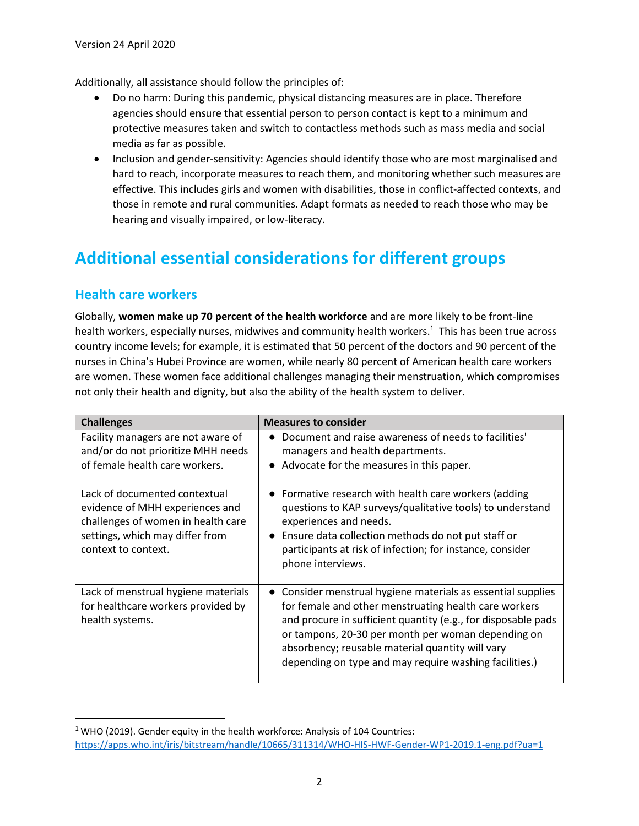Additionally, all assistance should follow the principles of:

- Do no harm: During this pandemic, physical distancing measures are in place. Therefore agencies should ensure that essential person to person contact is kept to a minimum and protective measures taken and switch to contactless methods such as mass media and social media as far as possible.
- Inclusion and gender-sensitivity: Agencies should identify those who are most marginalised and hard to reach, incorporate measures to reach them, and monitoring whether such measures are effective. This includes girls and women with disabilities, those in conflict-affected contexts, and those in remote and rural communities. Adapt formats as needed to reach those who may be hearing and visually impaired, or low-literacy.

### **Additional essential considerations for different groups**

#### **Health care workers**

Globally, **women make up 70 percent of the health workforce** and are more likely to be front-line health workers, especially nurses, midwives and community health workers.<sup>1</sup> This has been true across country income levels; for example, it is estimated that 50 percent of the doctors and 90 percent of the nurses in China's Hubei Province are women, while nearly 80 percent of American health care workers are women. These women face additional challenges managing their menstruation, which compromises not only their health and dignity, but also the ability of the health system to deliver.

| <b>Challenges</b>                                                                                                                                                | <b>Measures to consider</b>                                                                                                                                                                                                                                                                                                                                |
|------------------------------------------------------------------------------------------------------------------------------------------------------------------|------------------------------------------------------------------------------------------------------------------------------------------------------------------------------------------------------------------------------------------------------------------------------------------------------------------------------------------------------------|
| Facility managers are not aware of<br>and/or do not prioritize MHH needs<br>of female health care workers.                                                       | Document and raise awareness of needs to facilities'<br>managers and health departments.<br>• Advocate for the measures in this paper.                                                                                                                                                                                                                     |
| Lack of documented contextual<br>evidence of MHH experiences and<br>challenges of women in health care<br>settings, which may differ from<br>context to context. | • Formative research with health care workers (adding<br>questions to KAP surveys/qualitative tools) to understand<br>experiences and needs.<br>Ensure data collection methods do not put staff or<br>participants at risk of infection; for instance, consider<br>phone interviews.                                                                       |
| Lack of menstrual hygiene materials<br>for healthcare workers provided by<br>health systems.                                                                     | • Consider menstrual hygiene materials as essential supplies<br>for female and other menstruating health care workers<br>and procure in sufficient quantity (e.g., for disposable pads<br>or tampons, 20-30 per month per woman depending on<br>absorbency; reusable material quantity will vary<br>depending on type and may require washing facilities.) |

 $1$  WHO (2019). Gender equity in the health workforce: Analysis of 104 Countries: <https://apps.who.int/iris/bitstream/handle/10665/311314/WHO-HIS-HWF-Gender-WP1-2019.1-eng.pdf?ua=1>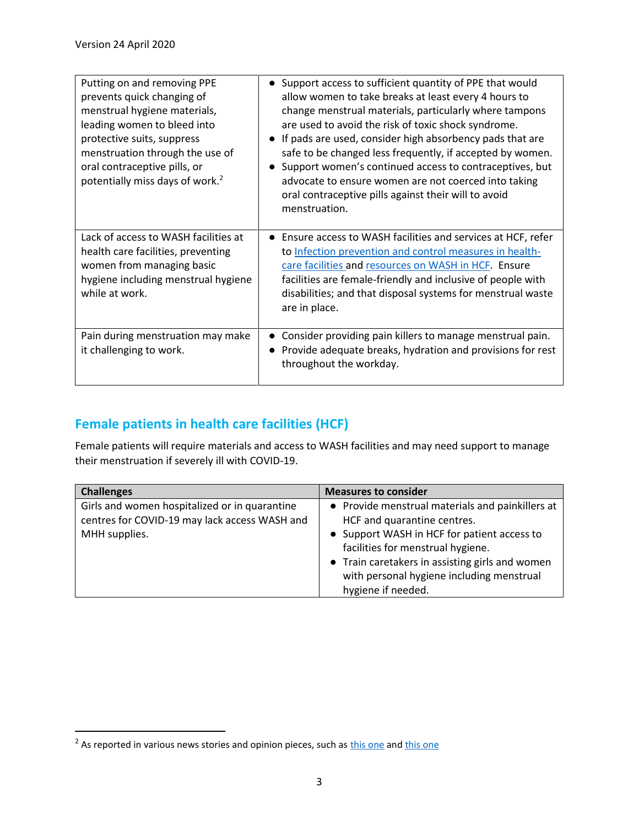| Putting on and removing PPE<br>prevents quick changing of<br>menstrual hygiene materials,<br>leading women to bleed into<br>protective suits, suppress<br>menstruation through the use of<br>oral contraceptive pills, or<br>potentially miss days of work. <sup>2</sup> | Support access to sufficient quantity of PPE that would<br>allow women to take breaks at least every 4 hours to<br>change menstrual materials, particularly where tampons<br>are used to avoid the risk of toxic shock syndrome.<br>If pads are used, consider high absorbency pads that are<br>safe to be changed less frequently, if accepted by women.<br>Support women's continued access to contraceptives, but<br>advocate to ensure women are not coerced into taking<br>oral contraceptive pills against their will to avoid<br>menstruation. |
|--------------------------------------------------------------------------------------------------------------------------------------------------------------------------------------------------------------------------------------------------------------------------|-------------------------------------------------------------------------------------------------------------------------------------------------------------------------------------------------------------------------------------------------------------------------------------------------------------------------------------------------------------------------------------------------------------------------------------------------------------------------------------------------------------------------------------------------------|
| Lack of access to WASH facilities at<br>health care facilities, preventing<br>women from managing basic<br>hygiene including menstrual hygiene<br>while at work.                                                                                                         | Ensure access to WASH facilities and services at HCF, refer<br>to Infection prevention and control measures in health-<br>care facilities and resources on WASH in HCF. Ensure<br>facilities are female-friendly and inclusive of people with<br>disabilities; and that disposal systems for menstrual waste<br>are in place.                                                                                                                                                                                                                         |
| Pain during menstruation may make<br>it challenging to work.                                                                                                                                                                                                             | Consider providing pain killers to manage menstrual pain.<br>Provide adequate breaks, hydration and provisions for rest<br>throughout the workday.                                                                                                                                                                                                                                                                                                                                                                                                    |

### **Female patients in health care facilities (HCF)**

Female patients will require materials and access to WASH facilities and may need support to manage their menstruation if severely ill with COVID-19.

| <b>Challenges</b>                                                                                               | <b>Measures to consider</b>                                                                                                                                                                                                                                                               |
|-----------------------------------------------------------------------------------------------------------------|-------------------------------------------------------------------------------------------------------------------------------------------------------------------------------------------------------------------------------------------------------------------------------------------|
| Girls and women hospitalized or in quarantine<br>centres for COVID-19 may lack access WASH and<br>MHH supplies. | • Provide menstrual materials and painkillers at<br>HCF and quarantine centres.<br>• Support WASH in HCF for patient access to<br>facilities for menstrual hygiene.<br>• Train caretakers in assisting girls and women<br>with personal hygiene including menstrual<br>hygiene if needed. |

<sup>&</sup>lt;sup>2</sup> As reported in various news stories and opinion pieces, such a[s this one](https://www.scmp.com/comment/opinion/article/3052524/how-chinas-coronavirus-health-care-workers-exposed-taboo) and [this one](https://www.news18.com/news/world/would-delay-periods-than-stain-suit-china-under-fire-as-women-coronavirus-workers-share-struggles-2529489.html)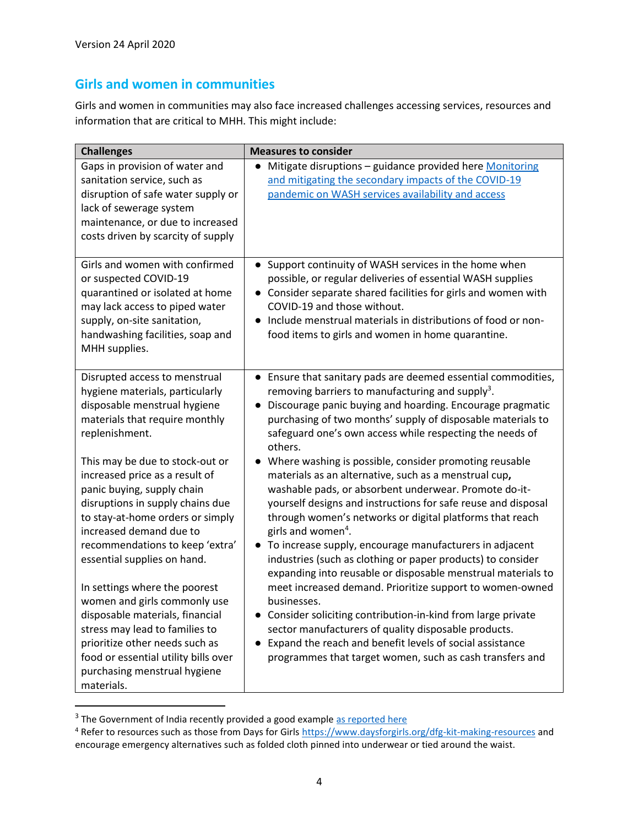#### **Girls and women in communities**

Girls and women in communities may also face increased challenges accessing services, resources and information that are critical to MHH. This might include:

| <b>Challenges</b>                                                                                                                                                                                                                                                                                                            | <b>Measures to consider</b>                                                                                                                                                                                                                                                                                                                                                                                                                                                                                                                |
|------------------------------------------------------------------------------------------------------------------------------------------------------------------------------------------------------------------------------------------------------------------------------------------------------------------------------|--------------------------------------------------------------------------------------------------------------------------------------------------------------------------------------------------------------------------------------------------------------------------------------------------------------------------------------------------------------------------------------------------------------------------------------------------------------------------------------------------------------------------------------------|
| Gaps in provision of water and<br>sanitation service, such as<br>disruption of safe water supply or<br>lack of sewerage system<br>maintenance, or due to increased<br>costs driven by scarcity of supply                                                                                                                     | Mitigate disruptions - guidance provided here Monitoring<br>and mitigating the secondary impacts of the COVID-19<br>pandemic on WASH services availability and access                                                                                                                                                                                                                                                                                                                                                                      |
| Girls and women with confirmed<br>or suspected COVID-19<br>quarantined or isolated at home<br>may lack access to piped water<br>supply, on-site sanitation,<br>handwashing facilities, soap and<br>MHH supplies.                                                                                                             | • Support continuity of WASH services in the home when<br>possible, or regular deliveries of essential WASH supplies<br>• Consider separate shared facilities for girls and women with<br>COVID-19 and those without.<br>Include menstrual materials in distributions of food or non-<br>$\bullet$<br>food items to girls and women in home quarantine.                                                                                                                                                                                    |
| Disrupted access to menstrual<br>hygiene materials, particularly<br>disposable menstrual hygiene<br>materials that require monthly<br>replenishment.                                                                                                                                                                         | • Ensure that sanitary pads are deemed essential commodities,<br>removing barriers to manufacturing and supply <sup>3</sup> .<br>Discourage panic buying and hoarding. Encourage pragmatic<br>purchasing of two months' supply of disposable materials to<br>safeguard one's own access while respecting the needs of<br>others.                                                                                                                                                                                                           |
| This may be due to stock-out or<br>increased price as a result of<br>panic buying, supply chain<br>disruptions in supply chains due<br>to stay-at-home orders or simply<br>increased demand due to                                                                                                                           | Where washing is possible, consider promoting reusable<br>materials as an alternative, such as a menstrual cup,<br>washable pads, or absorbent underwear. Promote do-it-<br>yourself designs and instructions for safe reuse and disposal<br>through women's networks or digital platforms that reach<br>girls and women <sup>4</sup> .                                                                                                                                                                                                    |
| recommendations to keep 'extra'<br>essential supplies on hand.<br>In settings where the poorest<br>women and girls commonly use<br>disposable materials, financial<br>stress may lead to families to<br>prioritize other needs such as<br>food or essential utility bills over<br>purchasing menstrual hygiene<br>materials. | To increase supply, encourage manufacturers in adjacent<br>$\bullet$<br>industries (such as clothing or paper products) to consider<br>expanding into reusable or disposable menstrual materials to<br>meet increased demand. Prioritize support to women-owned<br>businesses.<br>Consider soliciting contribution-in-kind from large private<br>$\bullet$<br>sector manufacturers of quality disposable products.<br>Expand the reach and benefit levels of social assistance<br>programmes that target women, such as cash transfers and |

<sup>&</sup>lt;sup>3</sup> The Government of India recently provided a good example [as reported here](https://www.shethepeople.tv/coronavirus/sanitary-napkins-essential-commodity-lockdown)

<sup>&</sup>lt;sup>4</sup> Refer to resources such as those from Days for Girls<https://www.daysforgirls.org/dfg-kit-making-resources> and encourage emergency alternatives such as folded cloth pinned into underwear or tied around the waist.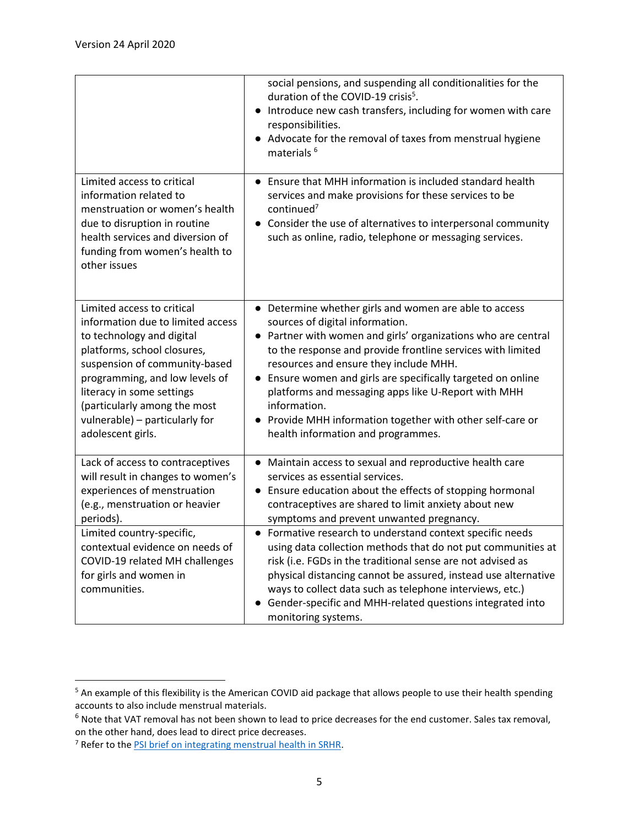|                                                                                                                                                                                                                                                                                                                    | social pensions, and suspending all conditionalities for the<br>duration of the COVID-19 crisis <sup>5</sup> .<br>Introduce new cash transfers, including for women with care<br>responsibilities.<br>• Advocate for the removal of taxes from menstrual hygiene<br>materials <sup>6</sup>                                                                                                                                                                                                                   |
|--------------------------------------------------------------------------------------------------------------------------------------------------------------------------------------------------------------------------------------------------------------------------------------------------------------------|--------------------------------------------------------------------------------------------------------------------------------------------------------------------------------------------------------------------------------------------------------------------------------------------------------------------------------------------------------------------------------------------------------------------------------------------------------------------------------------------------------------|
| Limited access to critical<br>information related to<br>menstruation or women's health<br>due to disruption in routine<br>health services and diversion of<br>funding from women's health to<br>other issues                                                                                                       | Ensure that MHH information is included standard health<br>$\bullet$<br>services and make provisions for these services to be<br>continued $7$<br>Consider the use of alternatives to interpersonal community<br>such as online, radio, telephone or messaging services.                                                                                                                                                                                                                                     |
| Limited access to critical<br>information due to limited access<br>to technology and digital<br>platforms, school closures,<br>suspension of community-based<br>programming, and low levels of<br>literacy in some settings<br>(particularly among the most<br>vulnerable) - particularly for<br>adolescent girls. | • Determine whether girls and women are able to access<br>sources of digital information.<br>• Partner with women and girls' organizations who are central<br>to the response and provide frontline services with limited<br>resources and ensure they include MHH.<br>Ensure women and girls are specifically targeted on online<br>platforms and messaging apps like U-Report with MHH<br>information.<br>• Provide MHH information together with other self-care or<br>health information and programmes. |
| Lack of access to contraceptives<br>will result in changes to women's<br>experiences of menstruation<br>(e.g., menstruation or heavier<br>periods).                                                                                                                                                                | Maintain access to sexual and reproductive health care<br>services as essential services.<br>Ensure education about the effects of stopping hormonal<br>$\bullet$<br>contraceptives are shared to limit anxiety about new<br>symptoms and prevent unwanted pregnancy.                                                                                                                                                                                                                                        |
| Limited country-specific,<br>contextual evidence on needs of<br>COVID-19 related MH challenges<br>for girls and women in<br>communities.                                                                                                                                                                           | • Formative research to understand context specific needs<br>using data collection methods that do not put communities at<br>risk (i.e. FGDs in the traditional sense are not advised as<br>physical distancing cannot be assured, instead use alternative<br>ways to collect data such as telephone interviews, etc.)<br>Gender-specific and MHH-related questions integrated into<br>monitoring systems.                                                                                                   |

<sup>5</sup> An example of this flexibility is the American COVID aid package that allows people to use their health spending accounts to also include menstrual materials.

<sup>6</sup> Note that VAT removal has not been shown to lead to price decreases for the end customer. Sales tax removal, on the other hand, does lead to direct price decreases.

<sup>7</sup> Refer to th[e PSI brief on integrating menstrual health in SRHR.](https://www.psi.org/publication/technical-brief-for-the-integration-of-menstrual-health-in-srhr/)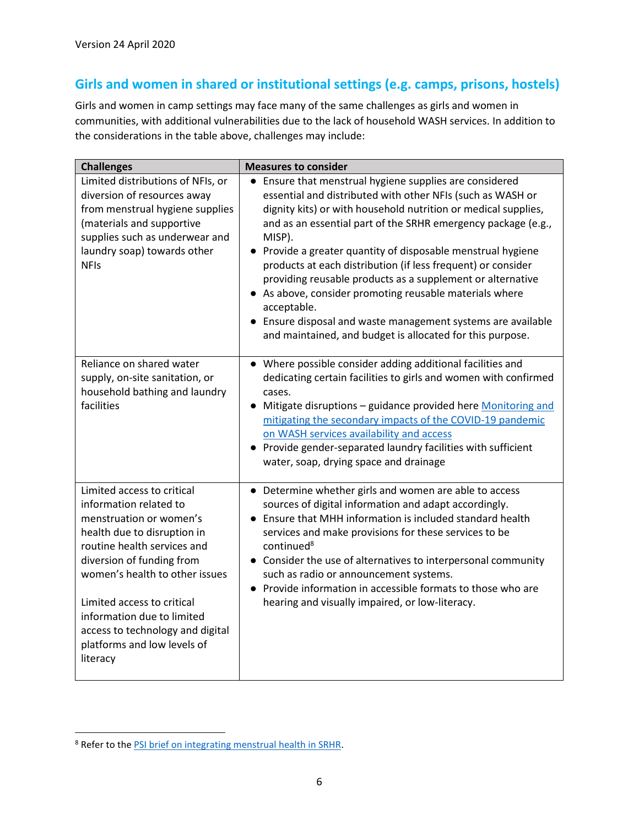#### **Girls and women in shared or institutional settings (e.g. camps, prisons, hostels)**

Girls and women in camp settings may face many of the same challenges as girls and women in communities, with additional vulnerabilities due to the lack of household WASH services. In addition to the considerations in the table above, challenges may include:

| <b>Challenges</b>                                                                                                                                                                                                                                                                                                                                       | <b>Measures to consider</b>                                                                                                                                                                                                                                                                                                                                                                                                                                                                                                                                                                                                                                             |
|---------------------------------------------------------------------------------------------------------------------------------------------------------------------------------------------------------------------------------------------------------------------------------------------------------------------------------------------------------|-------------------------------------------------------------------------------------------------------------------------------------------------------------------------------------------------------------------------------------------------------------------------------------------------------------------------------------------------------------------------------------------------------------------------------------------------------------------------------------------------------------------------------------------------------------------------------------------------------------------------------------------------------------------------|
| Limited distributions of NFIs, or<br>diversion of resources away<br>from menstrual hygiene supplies<br>(materials and supportive<br>supplies such as underwear and<br>laundry soap) towards other<br><b>NFIs</b>                                                                                                                                        | • Ensure that menstrual hygiene supplies are considered<br>essential and distributed with other NFIs (such as WASH or<br>dignity kits) or with household nutrition or medical supplies,<br>and as an essential part of the SRHR emergency package (e.g.,<br>MISP).<br>• Provide a greater quantity of disposable menstrual hygiene<br>products at each distribution (if less frequent) or consider<br>providing reusable products as a supplement or alternative<br>• As above, consider promoting reusable materials where<br>acceptable.<br>• Ensure disposal and waste management systems are available<br>and maintained, and budget is allocated for this purpose. |
| Reliance on shared water<br>supply, on-site sanitation, or<br>household bathing and laundry<br>facilities                                                                                                                                                                                                                                               | • Where possible consider adding additional facilities and<br>dedicating certain facilities to girls and women with confirmed<br>cases.<br>• Mitigate disruptions - guidance provided here Monitoring and<br>mitigating the secondary impacts of the COVID-19 pandemic<br>on WASH services availability and access<br>• Provide gender-separated laundry facilities with sufficient<br>water, soap, drying space and drainage                                                                                                                                                                                                                                           |
| Limited access to critical<br>information related to<br>menstruation or women's<br>health due to disruption in<br>routine health services and<br>diversion of funding from<br>women's health to other issues<br>Limited access to critical<br>information due to limited<br>access to technology and digital<br>platforms and low levels of<br>literacy | • Determine whether girls and women are able to access<br>sources of digital information and adapt accordingly.<br>Ensure that MHH information is included standard health<br>services and make provisions for these services to be<br>continued <sup>8</sup><br>• Consider the use of alternatives to interpersonal community<br>such as radio or announcement systems.<br>• Provide information in accessible formats to those who are<br>hearing and visually impaired, or low-literacy.                                                                                                                                                                             |

<sup>8</sup> Refer to th[e PSI brief on integrating menstrual health in SRHR.](https://www.psi.org/publication/technical-brief-for-the-integration-of-menstrual-health-in-srhr/)